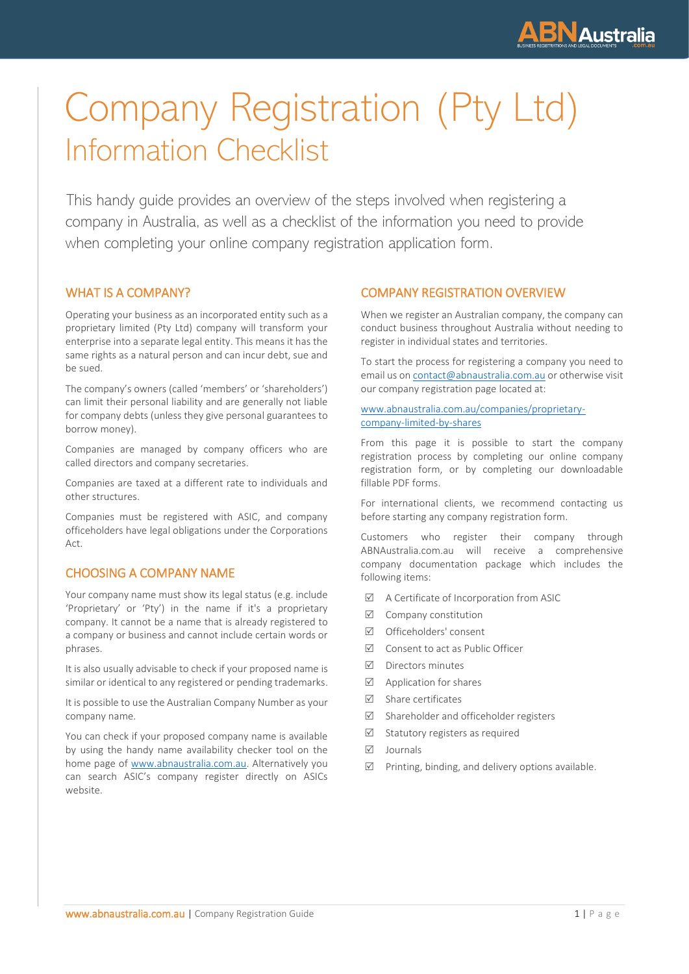

# Company Registration (Pty Ltd) Information Checklist

This handy guide provides an overview of the steps involved when registering a company in Australia, as well as a checklist of the information you need to provide when completing your online company registration application form.

# WHAT IS A COMPANY?

Operating your business as an incorporated entity such as a proprietary limited (Pty Ltd) company will transform your enterprise into a separate legal entity. This means it has the same rights as a natural person and can incur debt, sue and be sued.

The company's owners (called 'members' or 'shareholders') can limit their personal liability and are generally not liable for company debts (unless they give personal guarantees to borrow money).

Companies are managed by company officers who are called directors and company secretaries.

Companies are taxed at a different rate to individuals and other structures.

Companies must be registered with ASIC, and company officeholders have legal obligations under the Corporations Act.

# CHOOSING A COMPANY NAME

Your company name must show its legal status (e.g. include 'Proprietary' or 'Pty') in the name if it's a proprietary company. It cannot be a name that is already registered to a company or business and cannot include certain words or phrases.

It is also usually advisable to check if your proposed name is similar or identical to any registered or pending trademarks.

It is possible to use the Australian Company Number as your company name.

You can check if your proposed company name is available by using the handy name availability checker tool on the home page of [www.abnaustralia.com.au.](http://www.abnaustralia.com.au/) Alternatively you can search ASIC's company register directly on ASICs website.

# COMPANY REGISTRATION OVERVIEW

When we register an Australian company, the company can conduct business throughout Australia without needing to register in individual states and territories.

To start the process for registering a company you need to email us o[n contact@abnaustralia.com.au](mailto:contact@abnaustralia.com.au) or otherwise visit our company registration page located at:

[www.abnaustralia.com.au/companies/proprietary](http://www.abnaustralia.com.au/companies/proprietary-company-limited-by-shares)[company-limited-by-shares](http://www.abnaustralia.com.au/companies/proprietary-company-limited-by-shares)

From this page it is possible to start the company registration process by completing our online company registration form, or by completing our downloadable fillable PDF forms.

For international clients, we recommend contacting us before starting any company registration form.

Customers who register their company through ABNAustralia.com.au will receive a comprehensive company documentation package which includes the following items:

- $\boxtimes$  A Certificate of Incorporation from ASIC
- $\boxtimes$  Company constitution
- Officeholders' consent
- $\boxtimes$  Consent to act as Public Officer
- $\nabla$  Directors minutes
- $\triangledown$  Application for shares
- $\nabla$  Share certificates
- $\boxtimes$  Shareholder and officeholder registers
- $\triangledown$  Statutory registers as required
- $\nabla$  Journals
- $\triangledown$  Printing, binding, and delivery options available.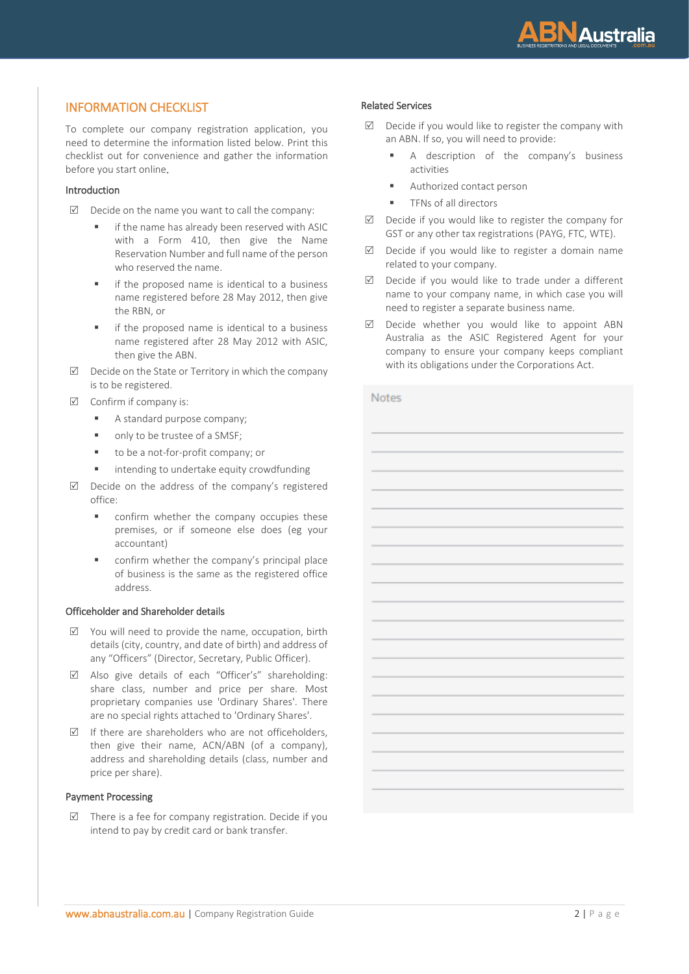

# INFORMATION CHECKLIST

To complete our company registration application, you need to determine the information listed below. Print this checklist out for convenience and gather the information before you start online.

#### Introduction

- $\boxtimes$  Decide on the name you want to call the company:
	- if the name has already been reserved with ASIC with a Form 410, then give the Name Reservation Number and full name of the person who reserved the name.
	- if the proposed name is identical to a business name registered before 28 May 2012, then give the RBN, or
	- if the proposed name is identical to a business name registered after 28 May 2012 with ASIC, then give the ABN.
- $\boxtimes$  Decide on the State or Territory in which the company is to be registered.
- $\boxtimes$  Confirm if company is:
	- A standard purpose company;
	- only to be trustee of a SMSF;
	- to be a not-for-profit company; or
	- intending to undertake equity crowdfunding
- $\boxtimes$  Decide on the address of the company's registered office:
	- confirm whether the company occupies these premises, or if someone else does (eg your accountant)
	- confirm whether the company's principal place of business is the same as the registered office address.

#### Officeholder and Shareholder details

- $\boxtimes$  You will need to provide the name, occupation, birth details (city, country, and date of birth) and address of any "Officers" (Director, Secretary, Public Officer).
- Also give details of each "Officer's" shareholding: share class, number and price per share. Most proprietary companies use 'Ordinary Shares'. There are no special rights attached to 'Ordinary Shares'.
- $\triangledown$  If there are shareholders who are not officeholders, then give their name, ACN/ABN (of a company), address and shareholding details (class, number and price per share).

#### Payment Processing

 $\triangledown$  There is a fee for company registration. Decide if you intend to pay by credit card or bank transfer.

#### Related Services

- $\boxtimes$  Decide if you would like to register the company with an ABN. If so, you will need to provide:
	- A description of the company's business activities
	- Authorized contact person
	- **■** TFNs of all directors
- $\boxtimes$  Decide if you would like to register the company for GST or any other tax registrations (PAYG, FTC, WTE).
- $\boxtimes$  Decide if you would like to register a domain name related to your company.
- $\boxtimes$  Decide if you would like to trade under a different name to your company name, in which case you will need to register a separate business name.
- $\boxtimes$  Decide whether you would like to appoint ABN Australia as the ASIC Registered Agent for your company to ensure your company keeps compliant with its obligations under the Corporations Act.

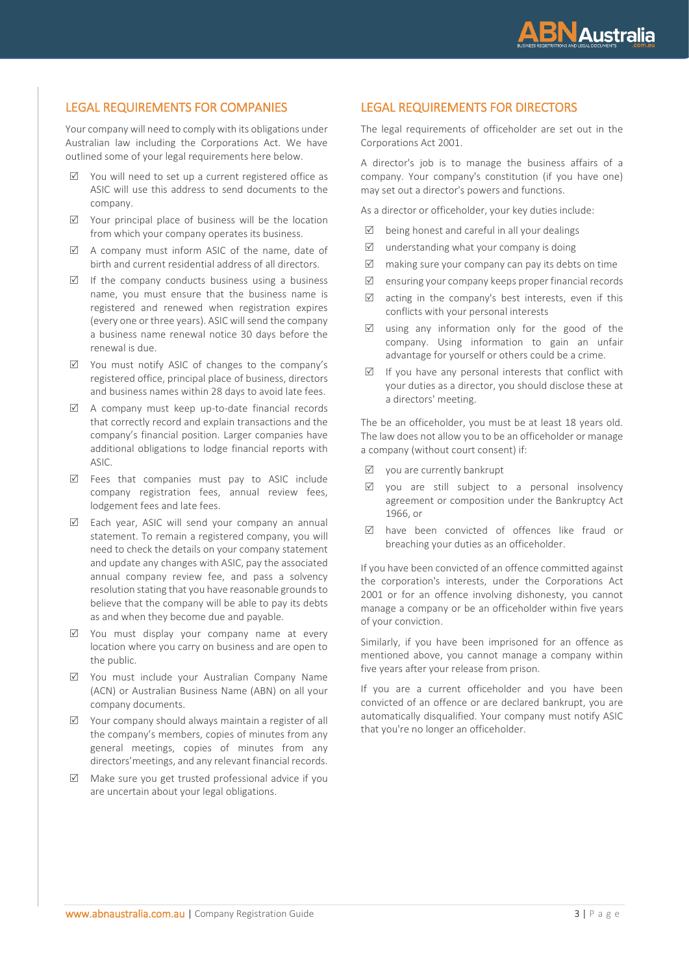

# LEGAL REQUIREMENTS FOR COMPANIES

Your company will need to comply with its obligations under Australian law including the Corporations Act. We have outlined some of your legal requirements here below.

- $\boxtimes$  You will need to set up a current registered office as ASIC will use this address to send documents to the company.
- $\boxtimes$  Your principal place of business will be the location from which your company operates its business.
- $\boxtimes$  A company must inform ASIC of the name, date of birth and current residential address of all directors.
- $\triangledown$  If the company conducts business using a business name, you must ensure that the business name is registered and renewed when registration expires (every one or three years). ASIC will send the company a business name renewal notice 30 days before the renewal is due.
- $\boxtimes$  You must notify ASIC of changes to the company's registered office, principal place of business, directors and business names within 28 days to avoid late fees.
- $\boxtimes$  A company must keep up-to-date financial records that correctly record and explain transactions and the company's financial position. Larger companies have additional obligations to lodge financial reports with ASIC.
- $\boxtimes$  Fees that companies must pay to ASIC include company registration fees, annual review fees, lodgement fees and late fees.
- $\triangledown$  Each year, ASIC will send your company an annual statement. To remain a registered company, you will need to check the details on your company statement and update any changes with ASIC, pay the associated annual company review fee, and pass a solvency resolution stating that you have reasonable grounds to believe that the company will be able to pay its debts as and when they become due and payable.
- $\boxtimes$  You must display your company name at every location where you carry on business and are open to the public.
- You must include your Australian Company Name (ACN) or Australian Business Name (ABN) on all your company documents.
- $\boxtimes$  Your company should always maintain a register of all the company's members, copies of minutes from any general meetings, copies of minutes from any directors'meetings, and any relevant financial records.
- $\boxtimes$  Make sure you get trusted professional advice if you are uncertain about your legal obligations.

# LEGAL REQUIREMENTS FOR DIRECTORS

The legal requirements of officeholder are set out in the Corporations Act 2001.

A director's job is to manage the business affairs of a company. Your company's constitution (if you have one) may set out a director's powers and functions.

As a director or officeholder, your key duties include:

- $\boxtimes$  being honest and careful in all your dealings
- $\triangledown$  understanding what your company is doing
- $\boxtimes$  making sure your company can pay its debts on time
- $\boxtimes$  ensuring your company keeps proper financial records
- $\boxtimes$  acting in the company's best interests, even if this conflicts with your personal interests
- $\boxtimes$  using any information only for the good of the company. Using information to gain an unfair advantage for yourself or others could be a crime.
- $\boxtimes$  If you have any personal interests that conflict with your duties as a director, you should disclose these at a directors' meeting.

The be an officeholder, you must be at least 18 years old. The law does not allow you to be an officeholder or manage a company (without court consent) if:

- $\boxtimes$  you are currently bankrupt
- $\boxtimes$  you are still subject to a personal insolvency agreement or composition under the Bankruptcy Act 1966, or
- have been convicted of offences like fraud or breaching your duties as an officeholder.

If you have been convicted of an offence committed against the corporation's interests, under the Corporations Act 2001 or for an offence involving dishonesty, you cannot manage a company or be an officeholder within five years of your conviction.

Similarly, if you have been imprisoned for an offence as mentioned above, you cannot manage a company within five years after your release from prison.

If you are a current officeholder and you have been convicted of an offence or are declared bankrupt, you are automatically disqualified. Your company must notify ASIC that you're no longer an officeholder.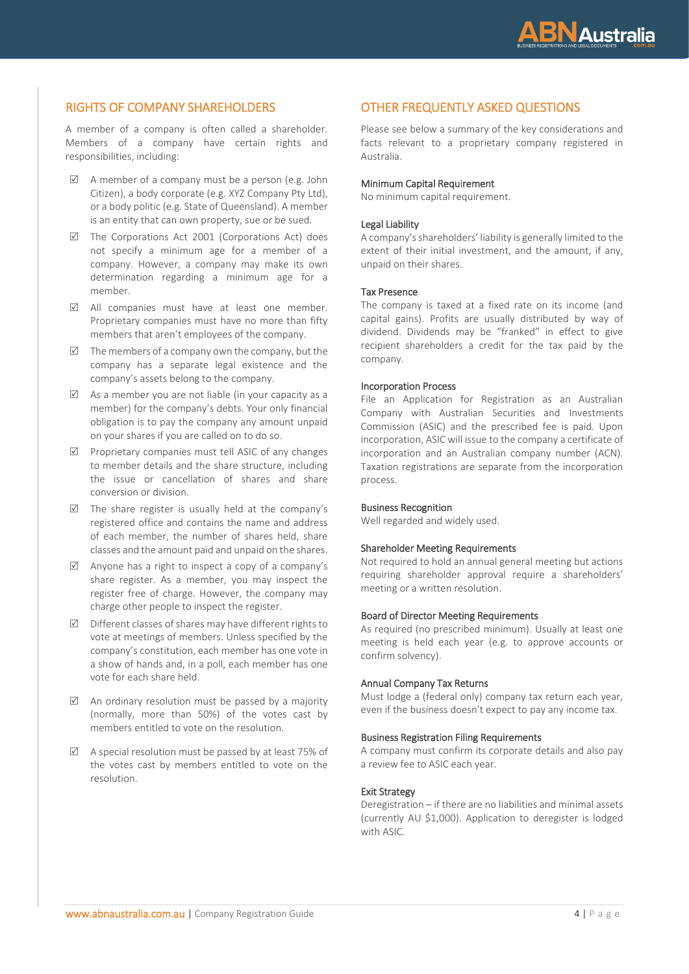

# RIGHTS OF COMPANY SHAREHOLDERS

A member of a company is often called a shareholder. Members of a company have certain rights and responsibilities, including:

- $\boxtimes$  A member of a company must be a person (e.g. John Citizen), a body corporate (e.g. XYZ Company Pty Ltd), or a body politic (e.g. State of Queensland). A member is an entity that can own property, sue or be sued.
- $\boxtimes$  The Corporations Act 2001 (Corporations Act) does not specify a minimum age for a member of a company. However, a company may make its own determination regarding a minimum age for a member.
- All companies must have at least one member. Proprietary companies must have no more than fifty members that aren't employees of the company.
- $\boxtimes$  The members of a company own the company, but the company has a separate legal existence and the company's assets belong to the company.
- $\boxtimes$  As a member you are not liable (in your capacity as a member) for the company's debts. Your only financial obligation is to pay the company any amount unpaid on your shares if you are called on to do so.
- $\boxtimes$  Proprietary companies must tell ASIC of any changes to member details and the share structure, including the issue or cancellation of shares and share conversion or division.
- $\triangledown$  The share register is usually held at the company's registered office and contains the name and address of each member, the number of shares held, share classes and the amount paid and unpaid on the shares.
- $\boxtimes$  Anyone has a right to inspect a copy of a company's share register. As a member, you may inspect the register free of charge. However, the company may charge other people to inspect the register.
- $\boxtimes$  Different classes of shares may have different rights to vote at meetings of members. Unless specified by the company's constitution, each member has one vote in a show of hands and, in a poll, each member has one vote for each share held.
- $\boxtimes$  An ordinary resolution must be passed by a majority (normally, more than 50%) of the votes cast by members entitled to vote on the resolution.
- $\boxtimes$  A special resolution must be passed by at least 75% of the votes cast by members entitled to vote on the resolution.

# OTHER FREQUENTLY ASKED QUESTIONS

Please see below a summary of the key considerations and facts relevant to a proprietary company registered in Australia.

#### Minimum Capital Requirement

No minimum capital requirement.

#### Legal Liability

A company's shareholders' liability is generally limited to the extent of their initial investment, and the amount, if any, unpaid on their shares.

#### Tax Presence

The company is taxed at a fixed rate on its income (and capital gains). Profits are usually distributed by way of dividend. Dividends may be "franked" in effect to give recipient shareholders a credit for the tax paid by the company.

#### Incorporation Process

File an Application for Registration as an Australian Company with Australian Securities and Investments Commission (ASIC) and the prescribed fee is paid. Upon incorporation, ASIC will issue to the company a certificate of incorporation and an Australian company number (ACN). Taxation registrations are separate from the incorporation process.

#### Business Recognition

Well regarded and widely used.

#### Shareholder Meeting Requirements

Not required to hold an annual general meeting but actions requiring shareholder approval require a shareholders' meeting or a written resolution.

## Board of Director Meeting Requirements

As required (no prescribed minimum). Usually at least one meeting is held each year (e.g. to approve accounts or confirm solvency).

#### Annual Company Tax Returns

Must lodge a (federal only) company tax return each year, even if the business doesn't expect to pay any income tax.

## Business Registration Filing Requirements

A company must confirm its corporate details and also pay a review fee to ASIC each year.

#### Exit Strategy

Deregistration – if there are no liabilities and minimal assets (currently AU \$1,000). Application to deregister is lodged with ASIC.